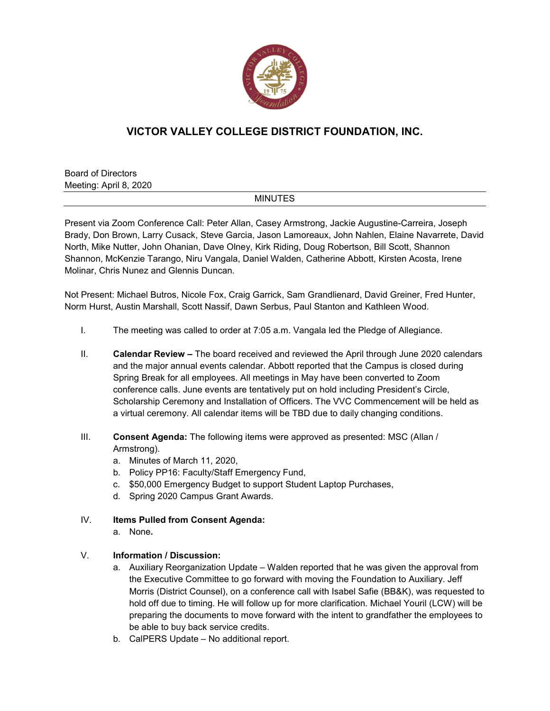

## **VICTOR VALLEY COLLEGE DISTRICT FOUNDATION, INC.**

Board of Directors Meeting: April 8, 2020

## MINUTES

Present via Zoom Conference Call: Peter Allan, Casey Armstrong, Jackie Augustine-Carreira, Joseph Brady, Don Brown, Larry Cusack, Steve Garcia, Jason Lamoreaux, John Nahlen, Elaine Navarrete, David North, Mike Nutter, John Ohanian, Dave Olney, Kirk Riding, Doug Robertson, Bill Scott, Shannon Shannon, McKenzie Tarango, Niru Vangala, Daniel Walden, Catherine Abbott, Kirsten Acosta, Irene Molinar, Chris Nunez and Glennis Duncan.

Not Present: Michael Butros, Nicole Fox, Craig Garrick, Sam Grandlienard, David Greiner, Fred Hunter, Norm Hurst, Austin Marshall, Scott Nassif, Dawn Serbus, Paul Stanton and Kathleen Wood.

- I. The meeting was called to order at 7:05 a.m. Vangala led the Pledge of Allegiance.
- II. **Calendar Review –** The board received and reviewed the April through June 2020 calendars and the major annual events calendar. Abbott reported that the Campus is closed during Spring Break for all employees. All meetings in May have been converted to Zoom conference calls. June events are tentatively put on hold including President's Circle, Scholarship Ceremony and Installation of Officers. The VVC Commencement will be held as a virtual ceremony. All calendar items will be TBD due to daily changing conditions.
- III. **Consent Agenda:** The following items were approved as presented: MSC (Allan / Armstrong).
	- a. Minutes of March 11, 2020,
	- b. Policy PP16: Faculty/Staff Emergency Fund,
	- c. \$50,000 Emergency Budget to support Student Laptop Purchases,
	- d. Spring 2020 Campus Grant Awards.
- IV. **Items Pulled from Consent Agenda:**
	- a. None**.**

## V. **Information / Discussion:**

- a. Auxiliary Reorganization Update Walden reported that he was given the approval from the Executive Committee to go forward with moving the Foundation to Auxiliary. Jeff Morris (District Counsel), on a conference call with Isabel Safie (BB&K), was requested to hold off due to timing. He will follow up for more clarification. Michael Youril (LCW) will be preparing the documents to move forward with the intent to grandfather the employees to be able to buy back service credits.
- b. CalPERS Update No additional report.